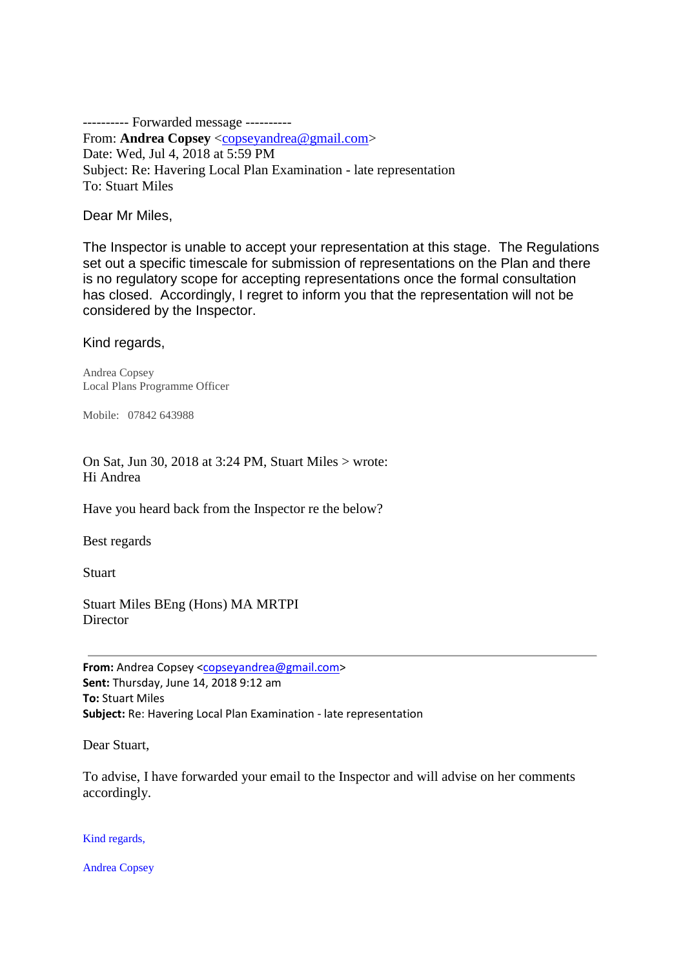---------- Forwarded message ---------- From: **Andrea Copsey** [<copseyandrea@gmail.com>](mailto:copseyandrea@gmail.com) Date: Wed, Jul 4, 2018 at 5:59 PM Subject: Re: Havering Local Plan Examination - late representation To: Stuart Miles

Dear Mr Miles,

The Inspector is unable to accept your representation at this stage. The Regulations set out a specific timescale for submission of representations on the Plan and there is no regulatory scope for accepting representations once the formal consultation has closed. Accordingly, I regret to inform you that the representation will not be considered by the Inspector.

Kind regards,

Andrea Copsey Local Plans Programme Officer

Mobile: 07842 643988

On Sat, Jun 30, 2018 at 3:24 PM, Stuart Miles > wrote: Hi Andrea

Have you heard back from the Inspector re the below?

Best regards

Stuart

Stuart Miles BEng (Hons) MA MRTPI **Director** 

**From:** Andrea Copsey [<copseyandrea@gmail.com>](mailto:copseyandrea@gmail.com) **Sent:** Thursday, June 14, 2018 9:12 am **To:** Stuart Miles **Subject:** Re: Havering Local Plan Examination - late representation

Dear Stuart,

To advise, I have forwarded your email to the Inspector and will advise on her comments accordingly.

Kind regards,

Andrea Copsey